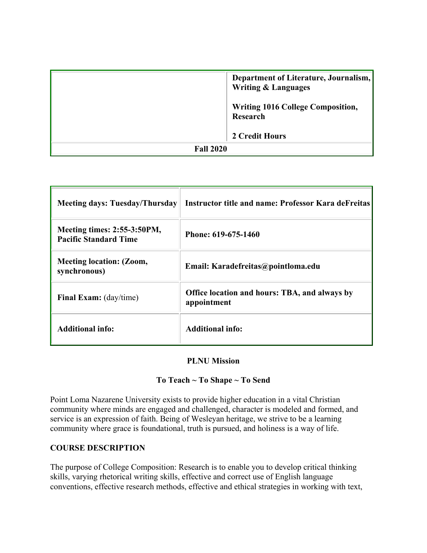|                  | Department of Literature, Journalism,<br><b>Writing &amp; Languages</b> |  |
|------------------|-------------------------------------------------------------------------|--|
|                  | <b>Writing 1016 College Composition,</b><br>Research                    |  |
|                  | 2 Credit Hours                                                          |  |
| <b>Fall 2020</b> |                                                                         |  |

| <b>Meeting days: Tuesday/Thursday</b>                              | Instructor title and name: Professor Kara deFreitas                 |
|--------------------------------------------------------------------|---------------------------------------------------------------------|
| <b>Meeting times: 2:55-3:50PM,</b><br><b>Pacific Standard Time</b> | Phone: 619-675-1460                                                 |
| <b>Meeting location: (Zoom,</b><br>synchronous)                    | Email: Karadefreitas@pointloma.edu                                  |
| <b>Final Exam:</b> (day/time)                                      | <b>Office location and hours: TBA, and always by</b><br>appointment |
| <b>Additional info:</b>                                            | <b>Additional info:</b>                                             |

#### **PLNU Mission**

#### **To Teach ~ To Shape ~ To Send**

Point Loma Nazarene University exists to provide higher education in a vital Christian community where minds are engaged and challenged, character is modeled and formed, and service is an expression of faith. Being of Wesleyan heritage, we strive to be a learning community where grace is foundational, truth is pursued, and holiness is a way of life.

#### **COURSE DESCRIPTION**

The purpose of College Composition: Research is to enable you to develop critical thinking skills, varying rhetorical writing skills, effective and correct use of English language conventions, effective research methods, effective and ethical strategies in working with text,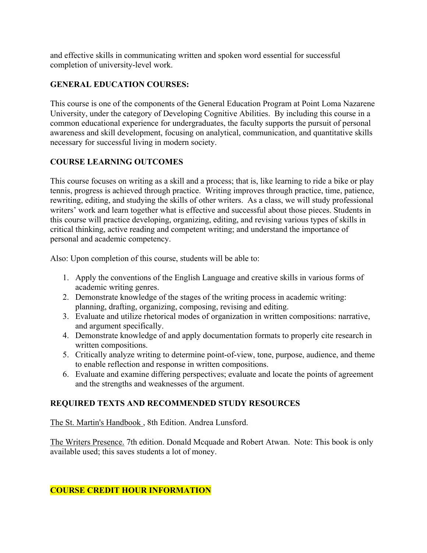and effective skills in communicating written and spoken word essential for successful completion of university-level work.

## **GENERAL EDUCATION COURSES:**

This course is one of the components of the General Education Program at Point Loma Nazarene University, under the category of Developing Cognitive Abilities. By including this course in a common educational experience for undergraduates, the faculty supports the pursuit of personal awareness and skill development, focusing on analytical, communication, and quantitative skills necessary for successful living in modern society.

## **COURSE LEARNING OUTCOMES**

This course focuses on writing as a skill and a process; that is, like learning to ride a bike or play tennis, progress is achieved through practice. Writing improves through practice, time, patience, rewriting, editing, and studying the skills of other writers. As a class, we will study professional writers' work and learn together what is effective and successful about those pieces. Students in this course will practice developing, organizing, editing, and revising various types of skills in critical thinking, active reading and competent writing; and understand the importance of personal and academic competency.

Also: Upon completion of this course, students will be able to:

- 1. Apply the conventions of the English Language and creative skills in various forms of academic writing genres.
- 2. Demonstrate knowledge of the stages of the writing process in academic writing: planning, drafting, organizing, composing, revising and editing.
- 3. Evaluate and utilize rhetorical modes of organization in written compositions: narrative, and argument specifically.
- 4. Demonstrate knowledge of and apply documentation formats to properly cite research in written compositions.
- 5. Critically analyze writing to determine point-of-view, tone, purpose, audience, and theme to enable reflection and response in written compositions.
- 6. Evaluate and examine differing perspectives; evaluate and locate the points of agreement and the strengths and weaknesses of the argument.

## **REQUIRED TEXTS AND RECOMMENDED STUDY RESOURCES**

The St. Martin's Handbook , 8th Edition. Andrea Lunsford.

The Writers Presence. 7th edition. Donald Mcquade and Robert Atwan. Note: This book is only available used; this saves students a lot of money.

## **COURSE CREDIT HOUR INFORMATION**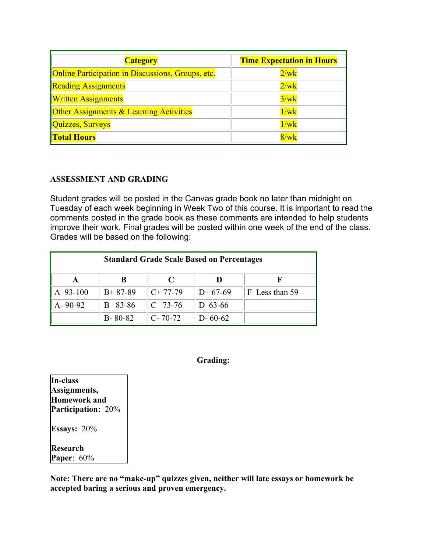| <b>Category</b>                                          | <b>Time Expectation in Hours</b> |  |
|----------------------------------------------------------|----------------------------------|--|
| <b>Online Participation in Discussions, Groups, etc.</b> | 2/wk                             |  |
| <b>Reading Assignments</b>                               | 2/wk                             |  |
| <b>Written Assignments</b>                               | 3/wk                             |  |
| <b>Other Assignments &amp; Learning Activities</b>       | 1/wk                             |  |
| Quizzes, Surveys                                         | 1/wk                             |  |
| <b>Total Hours</b>                                       | $8/\rm wk$                       |  |

#### **ASSESSMENT AND GRADING**

Student grades will be posted in the Canvas grade book no later than midnight on Tuesday of each week beginning in Week Two of this course. It is important to read the comments posted in the grade book as these comments are intended to help students improve their work. Final grades will be posted within one week of the end of the class. Grades will be based on the following:

| <b>Standard Grade Scale Based on Percentages</b> |               |               |               |                |  |
|--------------------------------------------------|---------------|---------------|---------------|----------------|--|
|                                                  |               |               |               |                |  |
| A 93-100                                         | $B+87-89$     | $C+77-79$     | $D+67-69$     | F Less than 59 |  |
| $A - 90 - 92$                                    | B 83-86       | $C$ 73-76     | D $63-66$     |                |  |
|                                                  | $B - 80 - 82$ | $C - 70 - 72$ | $D - 60 - 62$ |                |  |

#### **Grading:**

**In-class Assignments, Homework and Participation:** 20% **Essays:** 20% **Research Paper**: 60%

**Note: There are no "make-up" quizzes given, neither will late essays or homework be accepted baring a serious and proven emergency.**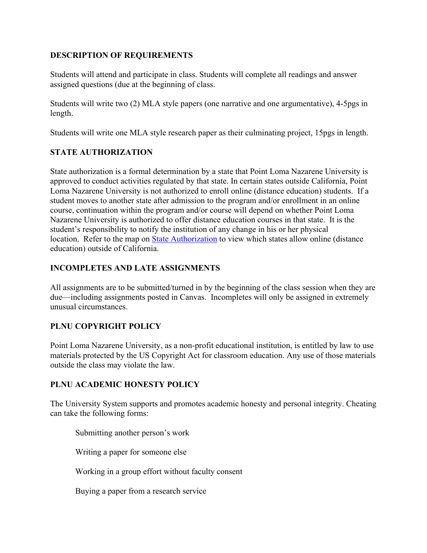### **DESCRIPTION OF REQUIREMENTS**

Students will attend and participate in class. Students will complete all readings and answer assigned questions (due at the beginning of class.

Students will write two (2) MLA style papers (one narrative and one argumentative), 4-5pgs in length.

Students will write one MLA style research paper as their culminating project, 15pgs in length.

### **STATE AUTHORIZATION**

State authorization is a formal determination by a state that Point Loma Nazarene University is approved to conduct activities regulated by that state. In certain states outside California, Point Loma Nazarene University is not authorized to enroll online (distance education) students. If a student moves to another state after admission to the program and/or enrollment in an online course, continuation within the program and/or course will depend on whether Point Loma Nazarene University is authorized to offer distance education courses in that state. It is the student's responsibility to notify the institution of any change in his or her physical location. Refer to the map on [State Authorization](https://www.pointloma.edu/offices/office-institutional-effectiveness-research/disclosures) to view which states allow online (distance education) outside of California.

### **INCOMPLETES AND LATE ASSIGNMENTS**

All assignments are to be submitted/turned in by the beginning of the class session when they are due—including assignments posted in Canvas. Incompletes will only be assigned in extremely unusual circumstances.

## **PLNU COPYRIGHT POLICY**

Point Loma Nazarene University, as a non-profit educational institution, is entitled by law to use materials protected by the US Copyright Act for classroom education. Any use of those materials outside the class may violate the law.

#### **PLNU ACADEMIC HONESTY POLICY**

The University System supports and promotes academic honesty and personal integrity. Cheating can take the following forms:

Submitting another person's work

Writing a paper for someone else

Working in a group effort without faculty consent

Buying a paper from a research service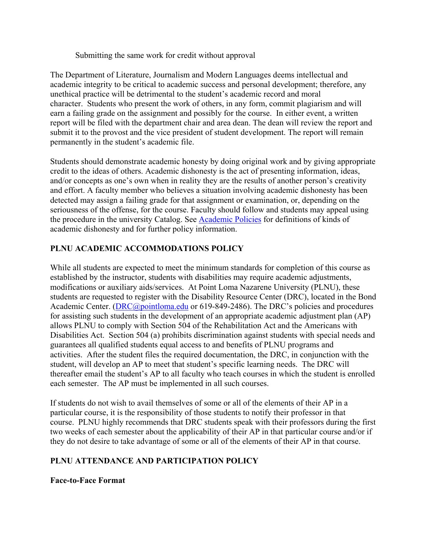Submitting the same work for credit without approval

The Department of Literature, Journalism and Modern Languages deems intellectual and academic integrity to be critical to academic success and personal development; therefore, any unethical practice will be detrimental to the student's academic record and moral character. Students who present the work of others, in any form, commit plagiarism and will earn a failing grade on the assignment and possibly for the course. In either event, a written report will be filed with the department chair and area dean. The dean will review the report and submit it to the provost and the vice president of student development. The report will remain permanently in the student's academic file.

Students should demonstrate academic honesty by doing original work and by giving appropriate credit to the ideas of others. Academic dishonesty is the act of presenting information, ideas, and/or concepts as one's own when in reality they are the results of another person's creativity and effort. A faculty member who believes a situation involving academic dishonesty has been detected may assign a failing grade for that assignment or examination, or, depending on the seriousness of the offense, for the course. Faculty should follow and students may appeal using the procedure in the university Catalog. See [Academic Policies](http://catalog.pointloma.edu/content.php?catoid=18&navoid=1278) for definitions of kinds of academic dishonesty and for further policy information.

### **PLNU ACADEMIC ACCOMMODATIONS POLICY**

While all students are expected to meet the minimum standards for completion of this course as established by the instructor, students with disabilities may require academic adjustments, modifications or auxiliary aids/services. At Point Loma Nazarene University (PLNU), these students are requested to register with the Disability Resource Center (DRC), located in the Bond Academic Center. [\(DRC@pointloma.edu](mailto:DRC@pointloma.edu) or 619-849-2486). The DRC's policies and procedures for assisting such students in the development of an appropriate academic adjustment plan (AP) allows PLNU to comply with Section 504 of the Rehabilitation Act and the Americans with Disabilities Act. Section 504 (a) prohibits discrimination against students with special needs and guarantees all qualified students equal access to and benefits of PLNU programs and activities. After the student files the required documentation, the DRC, in conjunction with the student, will develop an AP to meet that student's specific learning needs. The DRC will thereafter email the student's AP to all faculty who teach courses in which the student is enrolled each semester. The AP must be implemented in all such courses.

If students do not wish to avail themselves of some or all of the elements of their AP in a particular course, it is the responsibility of those students to notify their professor in that course. PLNU highly recommends that DRC students speak with their professors during the first two weeks of each semester about the applicability of their AP in that particular course and/or if they do not desire to take advantage of some or all of the elements of their AP in that course.

#### **PLNU ATTENDANCE AND PARTICIPATION POLICY**

#### **Face-to-Face Format**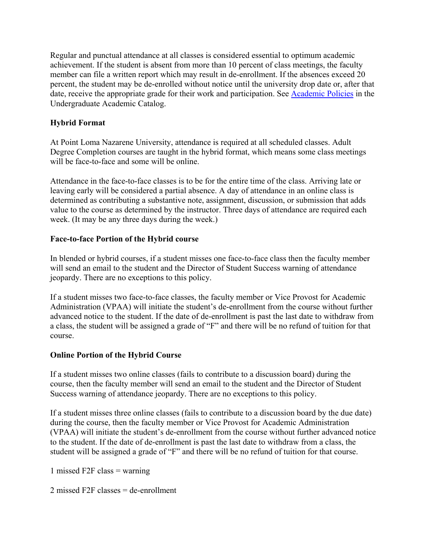Regular and punctual attendance at all classes is considered essential to optimum academic achievement. If the student is absent from more than 10 percent of class meetings, the faculty member can file a written report which may result in de-enrollment. If the absences exceed 20 percent, the student may be de-enrolled without notice until the university drop date or, after that date, receive the appropriate grade for their work and participation. See [Academic Policies](http://catalog.pointloma.edu/content.php?catoid=18&navoid=1278) in the Undergraduate Academic Catalog.

## **Hybrid Format**

At Point Loma Nazarene University, attendance is required at all scheduled classes. Adult Degree Completion courses are taught in the hybrid format, which means some class meetings will be face-to-face and some will be online.

Attendance in the face-to-face classes is to be for the entire time of the class. Arriving late or leaving early will be considered a partial absence. A day of attendance in an online class is determined as contributing a substantive note, assignment, discussion, or submission that adds value to the course as determined by the instructor. Three days of attendance are required each week. (It may be any three days during the week.)

#### **Face-to-face Portion of the Hybrid course**

In blended or hybrid courses, if a student misses one face-to-face class then the faculty member will send an email to the student and the Director of Student Success warning of attendance jeopardy. There are no exceptions to this policy.

If a student misses two face-to-face classes, the faculty member or Vice Provost for Academic Administration (VPAA) will initiate the student's de-enrollment from the course without further advanced notice to the student. If the date of de-enrollment is past the last date to withdraw from a class, the student will be assigned a grade of "F" and there will be no refund of tuition for that course.

#### **Online Portion of the Hybrid Course**

If a student misses two online classes (fails to contribute to a discussion board) during the course, then the faculty member will send an email to the student and the Director of Student Success warning of attendance jeopardy. There are no exceptions to this policy.

If a student misses three online classes (fails to contribute to a discussion board by the due date) during the course, then the faculty member or Vice Provost for Academic Administration (VPAA) will initiate the student's de-enrollment from the course without further advanced notice to the student. If the date of de-enrollment is past the last date to withdraw from a class, the student will be assigned a grade of "F" and there will be no refund of tuition for that course.

1 missed F2F class = warning

2 missed F2F classes = de-enrollment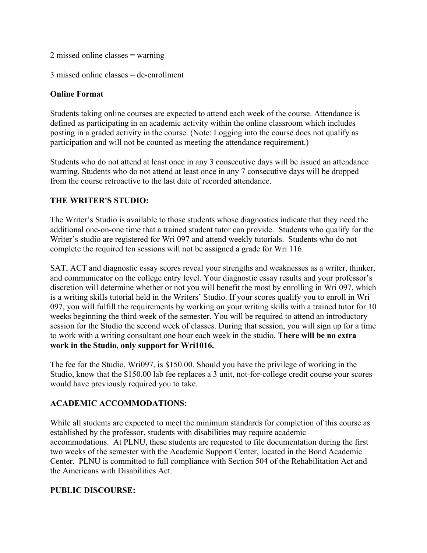2 missed online classes = warning

3 missed online classes = de-enrollment

### **Online Format**

Students taking online courses are expected to attend each week of the course. Attendance is defined as participating in an academic activity within the online classroom which includes posting in a graded activity in the course. (Note: Logging into the course does not qualify as participation and will not be counted as meeting the attendance requirement.)

Students who do not attend at least once in any 3 consecutive days will be issued an attendance warning. Students who do not attend at least once in any 7 consecutive days will be dropped from the course retroactive to the last date of recorded attendance.

### **THE WRITER'S STUDIO:**

The Writer's Studio is available to those students whose diagnostics indicate that they need the additional one-on-one time that a trained student tutor can provide. Students who qualify for the Writer's studio are registered for Wri 097 and attend weekly tutorials. Students who do not complete the required ten sessions will not be assigned a grade for Wri 116.

SAT, ACT and diagnostic essay scores reveal your strengths and weaknesses as a writer, thinker, and communicator on the college entry level. Your diagnostic essay results and your professor's discretion will determine whether or not you will benefit the most by enrolling in Wri 097, which is a writing skills tutorial held in the Writers' Studio. If your scores qualify you to enroll in Wri 097, you will fulfill the requirements by working on your writing skills with a trained tutor for 10 weeks beginning the third week of the semester. You will be required to attend an introductory session for the Studio the second week of classes. During that session, you will sign up for a time to work with a writing consultant one hour each week in the studio. **There will be no extra work in the Studio, only support for Wri1016.** 

The fee for the Studio, Wri097, is \$150.00. Should you have the privilege of working in the Studio, know that the \$150.00 lab fee replaces a 3 unit, not-for-college credit course your scores would have previously required you to take.

## **ACADEMIC ACCOMMODATIONS:**

While all students are expected to meet the minimum standards for completion of this course as established by the professor, students with disabilities may require academic accommodations. At PLNU, these students are requested to file documentation during the first two weeks of the semester with the Academic Support Center, located in the Bond Academic Center. PLNU is committed to full compliance with Section 504 of the Rehabilitation Act and the Americans with Disabilities Act.

#### **PUBLIC DISCOURSE:**